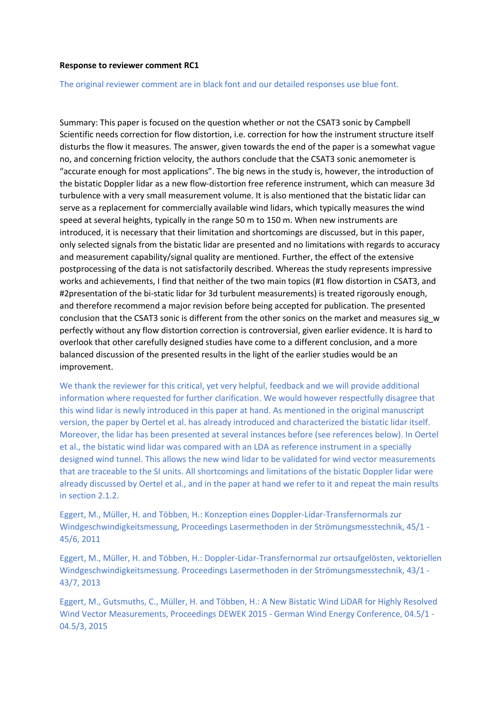#### **Response to reviewer comment RC1**

#### The original reviewer comment are in black font and our detailed responses use blue font.

Summary: This paper is focused on the question whether or not the CSAT3 sonic by Campbell Scientific needs correction for flow distortion, i.e. correction for how the instrument structure itself disturbs the flow it measures. The answer, given towards the end of the paper is a somewhat vague no, and concerning friction velocity, the authors conclude that the CSAT3 sonic anemometer is "accurate enough for most applications". The big news in the study is, however, the introduction of the bistatic Doppler lidar as a new flow-distortion free reference instrument, which can measure 3d turbulence with a very small measurement volume. It is also mentioned that the bistatic lidar can serve as a replacement for commercially available wind lidars, which typically measures the wind speed at several heights, typically in the range 50 m to 150 m. When new instruments are introduced, it is necessary that their limitation and shortcomings are discussed, but in this paper, only selected signals from the bistatic lidar are presented and no limitations with regards to accuracy and measurement capability/signal quality are mentioned. Further, the effect of the extensive postprocessing of the data is not satisfactorily described. Whereas the study represents impressive works and achievements, I find that neither of the two main topics (#1 flow distortion in CSAT3, and #2presentation of the bi-static lidar for 3d turbulent measurements) is treated rigorously enough, and therefore recommend a major revision before being accepted for publication. The presented conclusion that the CSAT3 sonic is different from the other sonics on the market and measures sig\_w perfectly without any flow distortion correction is controversial, given earlier evidence. It is hard to overlook that other carefully designed studies have come to a different conclusion, and a more balanced discussion of the presented results in the light of the earlier studies would be an improvement.

We thank the reviewer for this critical, yet very helpful, feedback and we will provide additional information where requested for further clarification. We would however respectfully disagree that this wind lidar is newly introduced in this paper at hand. As mentioned in the original manuscript version, the paper by Oertel et al. has already introduced and characterized the bistatic lidar itself. Moreover, the lidar has been presented at several instances before (see references below). In Oertel et al., the bistatic wind lidar was compared with an LDA as reference instrument in a specially designed wind tunnel. This allows the new wind lidar to be validated for wind vector measurements that are traceable to the SI units. All shortcomings and limitations of the bistatic Doppler lidar were already discussed by Oertel et al., and in the paper at hand we refer to it and repeat the main results in section 2.1.2.

Eggert, M., Müller, H. and Többen, H.: Konzeption eines Doppler-Lidar-Transfernormals zur Windgeschwindigkeitsmessung, Proceedings Lasermethoden in der Strömungsmesstechnik, 45/1 - 45/6, 2011

Eggert, M., Müller, H. and Többen, H.: Doppler-Lidar-Transfernormal zur ortsaufgelösten, vektoriellen Windgeschwindigkeitsmessung. Proceedings Lasermethoden in der Strömungsmesstechnik, 43/1 - 43/7, 2013

Eggert, M., Gutsmuths, C., Müller, H. and Többen, H.: A New Bistatic Wind LiDAR for Highly Resolved Wind Vector Measurements, Proceedings DEWEK 2015 - German Wind Energy Conference, 04.5/1 - 04.5/3, 2015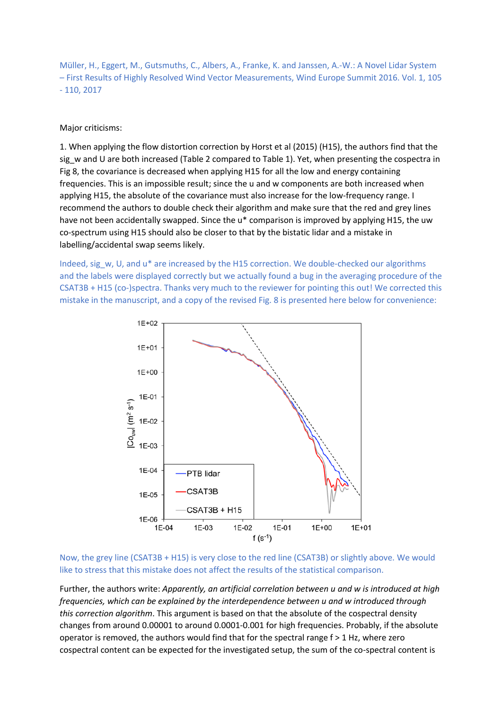Müller, H., Eggert, M., Gutsmuths, C., Albers, A., Franke, K. and Janssen, A.-W.: A Novel Lidar System – First Results of Highly Resolved Wind Vector Measurements, Wind Europe Summit 2016. Vol. 1, 105 - 110, 2017

Major criticisms:

1. When applying the flow distortion correction by Horst et al (2015) (H15), the authors find that the sig\_w and U are both increased (Table 2 compared to Table 1). Yet, when presenting the cospectra in Fig 8, the covariance is decreased when applying H15 for all the low and energy containing frequencies. This is an impossible result; since the u and w components are both increased when applying H15, the absolute of the covariance must also increase for the low-frequency range. I recommend the authors to double check their algorithm and make sure that the red and grey lines have not been accidentally swapped. Since the u\* comparison is improved by applying H15, the uw co-spectrum using H15 should also be closer to that by the bistatic lidar and a mistake in labelling/accidental swap seems likely.

Indeed, sig\_w, U, and u\* are increased by the H15 correction. We double-checked our algorithms and the labels were displayed correctly but we actually found a bug in the averaging procedure of the CSAT3B + H15 (co-)spectra. Thanks very much to the reviewer for pointing this out! We corrected this mistake in the manuscript, and a copy of the revised Fig. 8 is presented here below for convenience:



Now, the grey line (CSAT3B + H15) is very close to the red line (CSAT3B) or slightly above. We would like to stress that this mistake does not affect the results of the statistical comparison.

Further, the authors write: *Apparently, an artificial correlation between u and w is introduced at high frequencies, which can be explained by the interdependence between u and w introduced through this correction algorithm*. This argument is based on that the absolute of the cospectral density changes from around 0.00001 to around 0.0001-0.001 for high frequencies. Probably, if the absolute operator is removed, the authors would find that for the spectral range  $f > 1$  Hz, where zero cospectral content can be expected for the investigated setup, the sum of the co-spectral content is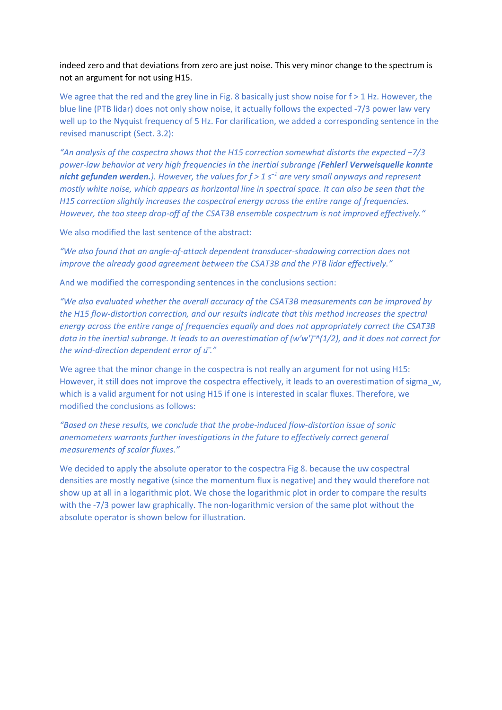indeed zero and that deviations from zero are just noise. This very minor change to the spectrum is not an argument for not using H15.

We agree that the red and the grey line in Fig. 8 basically just show noise for  $f > 1$  Hz. However, the blue line (PTB lidar) does not only show noise, it actually follows the expected -7/3 power law very well up to the Nyquist frequency of 5 Hz. For clarification, we added a corresponding sentence in the revised manuscript (Sect. 3.2):

*"An analysis of the cospectra shows that the H15 correction somewhat distorts the expected −7/3 power-law behavior at very high frequencies in the inertial subrange (Fehler! Verweisquelle konnte nicht gefunden werden.). However, the values for f > 1 s <sup>−</sup><sup>1</sup> are very small anyways and represent mostly white noise, which appears as horizontal line in spectral space. It can also be seen that the H15 correction slightly increases the cospectral energy across the entire range of frequencies. However, the too steep drop-off of the CSAT3B ensemble cospectrum is not improved effectively."*

We also modified the last sentence of the abstract:

*"We also found that an angle-of-attack dependent transducer-shadowing correction does not improve the already good agreement between the CSAT3B and the PTB lidar effectively."*

And we modified the corresponding sentences in the conclusions section:

*"We also evaluated whether the overall accuracy of the CSAT3B measurements can be improved by the H15 flow-distortion correction, and our results indicate that this method increases the spectral energy across the entire range of frequencies equally and does not appropriately correct the CSAT3B data in the inertial subrange. It leads to an overestimation of (w'w') ̅^(1/2), and it does not correct for the wind-direction dependent error of u ̅."*

We agree that the minor change in the cospectra is not really an argument for not using H15: However, it still does not improve the cospectra effectively, it leads to an overestimation of sigma\_w, which is a valid argument for not using H15 if one is interested in scalar fluxes. Therefore, we modified the conclusions as follows:

*"Based on these results, we conclude that the probe-induced flow-distortion issue of sonic anemometers warrants further investigations in the future to effectively correct general measurements of scalar fluxes."*

We decided to apply the absolute operator to the cospectra Fig 8. because the uw cospectral densities are mostly negative (since the momentum flux is negative) and they would therefore not show up at all in a logarithmic plot. We chose the logarithmic plot in order to compare the results with the -7/3 power law graphically. The non-logarithmic version of the same plot without the absolute operator is shown below for illustration.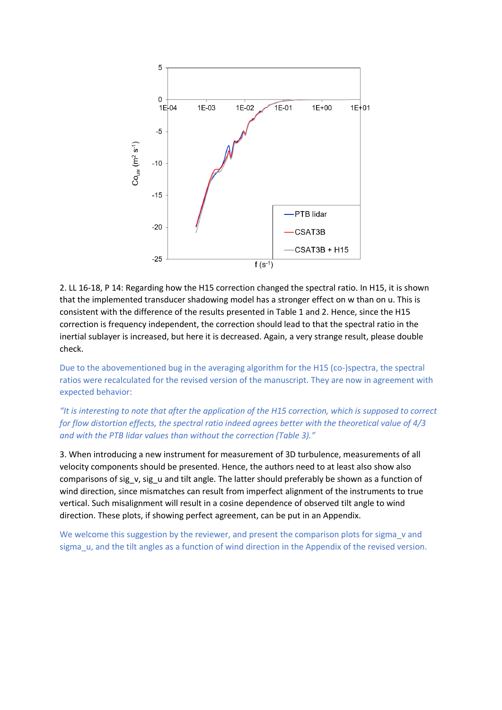

2. LL 16-18, P 14: Regarding how the H15 correction changed the spectral ratio. In H15, it is shown that the implemented transducer shadowing model has a stronger effect on w than on u. This is consistent with the difference of the results presented in Table 1 and 2. Hence, since the H15 correction is frequency independent, the correction should lead to that the spectral ratio in the inertial sublayer is increased, but here it is decreased. Again, a very strange result, please double check.

Due to the abovementioned bug in the averaging algorithm for the H15 (co-)spectra, the spectral ratios were recalculated for the revised version of the manuscript. They are now in agreement with expected behavior:

*"It is interesting to note that after the application of the H15 correction, which is supposed to correct for flow distortion effects, the spectral ratio indeed agrees better with the theoretical value of 4/3 and with the PTB lidar values than without the correction (Table 3)."*

3. When introducing a new instrument for measurement of 3D turbulence, measurements of all velocity components should be presented. Hence, the authors need to at least also show also comparisons of sig v, sig u and tilt angle. The latter should preferably be shown as a function of wind direction, since mismatches can result from imperfect alignment of the instruments to true vertical. Such misalignment will result in a cosine dependence of observed tilt angle to wind direction. These plots, if showing perfect agreement, can be put in an Appendix.

We welcome this suggestion by the reviewer, and present the comparison plots for sigma v and sigma\_u, and the tilt angles as a function of wind direction in the Appendix of the revised version.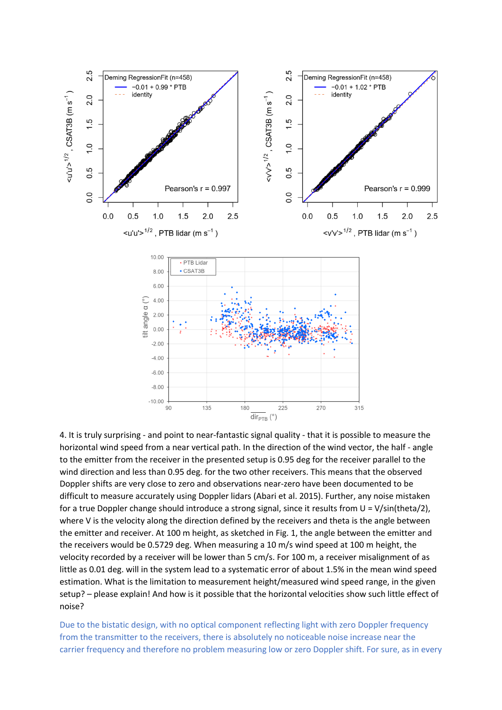

4. It is truly surprising - and point to near-fantastic signal quality - that it is possible to measure the horizontal wind speed from a near vertical path. In the direction of the wind vector, the half - angle to the emitter from the receiver in the presented setup is 0.95 deg for the receiver parallel to the wind direction and less than 0.95 deg. for the two other receivers. This means that the observed Doppler shifts are very close to zero and observations near-zero have been documented to be difficult to measure accurately using Doppler lidars (Abari et al. 2015). Further, any noise mistaken for a true Doppler change should introduce a strong signal, since it results from U = V/sin(theta/2), where V is the velocity along the direction defined by the receivers and theta is the angle between the emitter and receiver. At 100 m height, as sketched in Fig. 1, the angle between the emitter and the receivers would be 0.5729 deg. When measuring a 10 m/s wind speed at 100 m height, the velocity recorded by a receiver will be lower than 5 cm/s. For 100 m, a receiver misalignment of as little as 0.01 deg. will in the system lead to a systematic error of about 1.5% in the mean wind speed estimation. What is the limitation to measurement height/measured wind speed range, in the given setup? – please explain! And how is it possible that the horizontal velocities show such little effect of noise?

Due to the bistatic design, with no optical component reflecting light with zero Doppler frequency from the transmitter to the receivers, there is absolutely no noticeable noise increase near the carrier frequency and therefore no problem measuring low or zero Doppler shift. For sure, as in every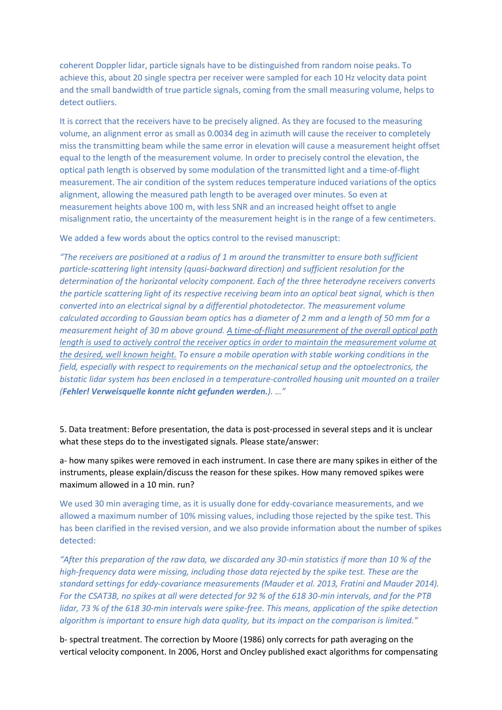coherent Doppler lidar, particle signals have to be distinguished from random noise peaks. To achieve this, about 20 single spectra per receiver were sampled for each 10 Hz velocity data point and the small bandwidth of true particle signals, coming from the small measuring volume, helps to detect outliers.

It is correct that the receivers have to be precisely aligned. As they are focused to the measuring volume, an alignment error as small as 0.0034 deg in azimuth will cause the receiver to completely miss the transmitting beam while the same error in elevation will cause a measurement height offset equal to the length of the measurement volume. In order to precisely control the elevation, the optical path length is observed by some modulation of the transmitted light and a time-of-flight measurement. The air condition of the system reduces temperature induced variations of the optics alignment, allowing the measured path length to be averaged over minutes. So even at measurement heights above 100 m, with less SNR and an increased height offset to angle misalignment ratio, the uncertainty of the measurement height is in the range of a few centimeters.

We added a few words about the optics control to the revised manuscript:

*"The receivers are positioned at a radius of 1 m around the transmitter to ensure both sufficient particle-scattering light intensity (quasi-backward direction) and sufficient resolution for the determination of the horizontal velocity component. Each of the three heterodyne receivers converts the particle scattering light of its respective receiving beam into an optical beat signal, which is then converted into an electrical signal by a differential photodetector. The measurement volume calculated according to Gaussian beam optics has a diameter of 2 mm and a length of 50 mm for a measurement height of 30 m above ground. A time-of-flight measurement of the overall optical path length is used to actively control the receiver optics in order to maintain the measurement volume at the desired, well known height. To ensure a mobile operation with stable working conditions in the field, especially with respect to requirements on the mechanical setup and the optoelectronics, the bistatic lidar system has been enclosed in a temperature-controlled housing unit mounted on a trailer (Fehler! Verweisquelle konnte nicht gefunden werden.). …"*

5. Data treatment: Before presentation, the data is post-processed in several steps and it is unclear what these steps do to the investigated signals. Please state/answer:

a- how many spikes were removed in each instrument. In case there are many spikes in either of the instruments, please explain/discuss the reason for these spikes. How many removed spikes were maximum allowed in a 10 min. run?

We used 30 min averaging time, as it is usually done for eddy-covariance measurements, and we allowed a maximum number of 10% missing values, including those rejected by the spike test. This has been clarified in the revised version, and we also provide information about the number of spikes detected:

*"After this preparation of the raw data, we discarded any 30-min statistics if more than 10 % of the high-frequency data were missing, including those data rejected by the spike test. These are the standard settings for eddy-covariance measurements (Mauder et al. 2013, Fratini and Mauder 2014). For the CSAT3B, no spikes at all were detected for 92 % of the 618 30-min intervals, and for the PTB lidar, 73 % of the 618 30-min intervals were spike-free. This means, application of the spike detection algorithm is important to ensure high data quality, but its impact on the comparison is limited."*

b- spectral treatment. The correction by Moore (1986) only corrects for path averaging on the vertical velocity component. In 2006, Horst and Oncley published exact algorithms for compensating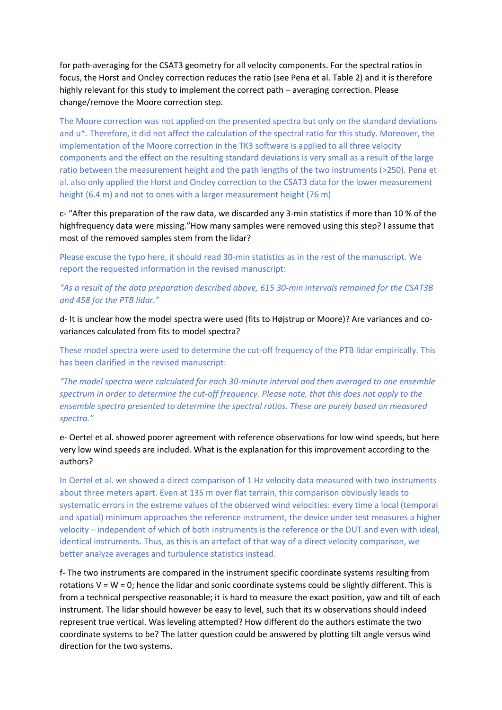for path-averaging for the CSAT3 geometry for all velocity components. For the spectral ratios in focus, the Horst and Oncley correction reduces the ratio (see Pena et al. Table 2) and it is therefore highly relevant for this study to implement the correct path – averaging correction. Please change/remove the Moore correction step.

The Moore correction was not applied on the presented spectra but only on the standard deviations and u\*. Therefore, it did not affect the calculation of the spectral ratio for this study. Moreover, the implementation of the Moore correction in the TK3 software is applied to all three velocity components and the effect on the resulting standard deviations is very small as a result of the large ratio between the measurement height and the path lengths of the two instruments (>250). Pena et al. also only applied the Horst and Oncley correction to the CSAT3 data for the lower measurement height (6.4 m) and not to ones with a larger measurement height (76 m)

c- "After this preparation of the raw data, we discarded any 3-min statistics if more than 10 % of the highfrequency data were missing."How many samples were removed using this step? I assume that most of the removed samples stem from the lidar?

Please excuse the typo here, it should read 30-min statistics as in the rest of the manuscript. We report the requested information in the revised manuscript:

*"As a result of the data preparation described above, 615 30-min intervals remained for the CSAT3B and 458 for the PTB lidar."*

d- It is unclear how the model spectra were used (fits to Højstrup or Moore)? Are variances and covariances calculated from fits to model spectra?

These model spectra were used to determine the cut-off frequency of the PTB lidar empirically. This has been clarified in the revised manuscript:

*"The model spectra were calculated for each 30-minute interval and then averaged to one ensemble spectrum in order to determine the cut-off frequency. Please note, that this does not apply to the ensemble spectra presented to determine the spectral ratios. These are purely based on measured spectra."*

e- Oertel et al. showed poorer agreement with reference observations for low wind speeds, but here very low wind speeds are included. What is the explanation for this improvement according to the authors?

In Oertel et al. we showed a direct comparison of 1 Hz velocity data measured with two instruments about three meters apart. Even at 135 m over flat terrain, this comparison obviously leads to systematic errors in the extreme values of the observed wind velocities: every time a local (temporal and spatial) minimum approaches the reference instrument, the device under test measures a higher velocity – independent of which of both instruments is the reference or the DUT and even with ideal, identical instruments. Thus, as this is an artefact of that way of a direct velocity comparison, we better analyze averages and turbulence statistics instead.

f- The two instruments are compared in the instrument specific coordinate systems resulting from rotations  $V = W = 0$ ; hence the lidar and sonic coordinate systems could be slightly different. This is from a technical perspective reasonable; it is hard to measure the exact position, yaw and tilt of each instrument. The lidar should however be easy to level, such that its w observations should indeed represent true vertical. Was leveling attempted? How different do the authors estimate the two coordinate systems to be? The latter question could be answered by plotting tilt angle versus wind direction for the two systems.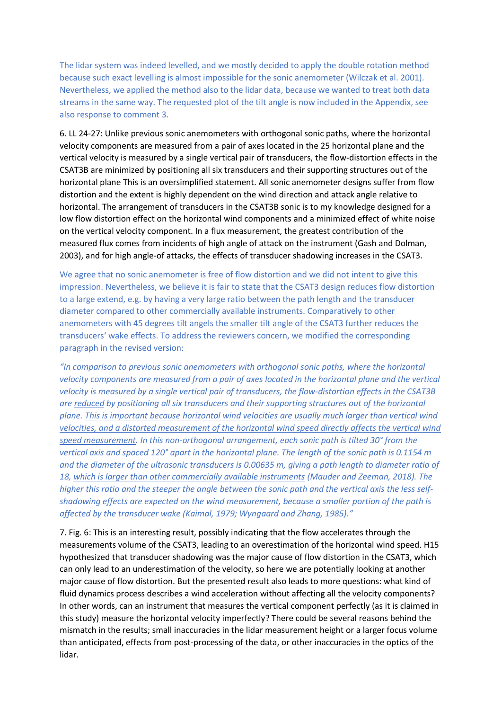The lidar system was indeed levelled, and we mostly decided to apply the double rotation method because such exact levelling is almost impossible for the sonic anemometer (Wilczak et al. 2001). Nevertheless, we applied the method also to the lidar data, because we wanted to treat both data streams in the same way. The requested plot of the tilt angle is now included in the Appendix, see also response to comment 3.

6. LL 24-27: Unlike previous sonic anemometers with orthogonal sonic paths, where the horizontal velocity components are measured from a pair of axes located in the 25 horizontal plane and the vertical velocity is measured by a single vertical pair of transducers, the flow-distortion effects in the CSAT3B are minimized by positioning all six transducers and their supporting structures out of the horizontal plane This is an oversimplified statement. All sonic anemometer designs suffer from flow distortion and the extent is highly dependent on the wind direction and attack angle relative to horizontal. The arrangement of transducers in the CSAT3B sonic is to my knowledge designed for a low flow distortion effect on the horizontal wind components and a minimized effect of white noise on the vertical velocity component. In a flux measurement, the greatest contribution of the measured flux comes from incidents of high angle of attack on the instrument (Gash and Dolman, 2003), and for high angle-of attacks, the effects of transducer shadowing increases in the CSAT3.

We agree that no sonic anemometer is free of flow distortion and we did not intent to give this impression. Nevertheless, we believe it is fair to state that the CSAT3 design reduces flow distortion to a large extend, e.g. by having a very large ratio between the path length and the transducer diameter compared to other commercially available instruments. Comparatively to other anemometers with 45 degrees tilt angels the smaller tilt angle of the CSAT3 further reduces the transducers' wake effects. To address the reviewers concern, we modified the corresponding paragraph in the revised version:

*"In comparison to previous sonic anemometers with orthogonal sonic paths, where the horizontal velocity components are measured from a pair of axes located in the horizontal plane and the vertical velocity is measured by a single vertical pair of transducers, the flow-distortion effects in the CSAT3B are reduced by positioning all six transducers and their supporting structures out of the horizontal plane. This is important because horizontal wind velocities are usually much larger than vertical wind velocities, and a distorted measurement of the horizontal wind speed directly affects the vertical wind speed measurement. In this non-orthogonal arrangement, each sonic path is tilted 30° from the vertical axis and spaced 120° apart in the horizontal plane. The length of the sonic path is 0.1154 m and the diameter of the ultrasonic transducers is 0.00635 m, giving a path length to diameter ratio of 18, which is larger than other commercially available instruments (Mauder and Zeeman, 2018). The higher this ratio and the steeper the angle between the sonic path and the vertical axis the less selfshadowing effects are expected on the wind measurement, because a smaller portion of the path is affected by the transducer wake (Kaimal, 1979; Wyngaard and Zhang, 1985)."*

7. Fig. 6: This is an interesting result, possibly indicating that the flow accelerates through the measurements volume of the CSAT3, leading to an overestimation of the horizontal wind speed. H15 hypothesized that transducer shadowing was the major cause of flow distortion in the CSAT3, which can only lead to an underestimation of the velocity, so here we are potentially looking at another major cause of flow distortion. But the presented result also leads to more questions: what kind of fluid dynamics process describes a wind acceleration without affecting all the velocity components? In other words, can an instrument that measures the vertical component perfectly (as it is claimed in this study) measure the horizontal velocity imperfectly? There could be several reasons behind the mismatch in the results; small inaccuracies in the lidar measurement height or a larger focus volume than anticipated, effects from post-processing of the data, or other inaccuracies in the optics of the lidar.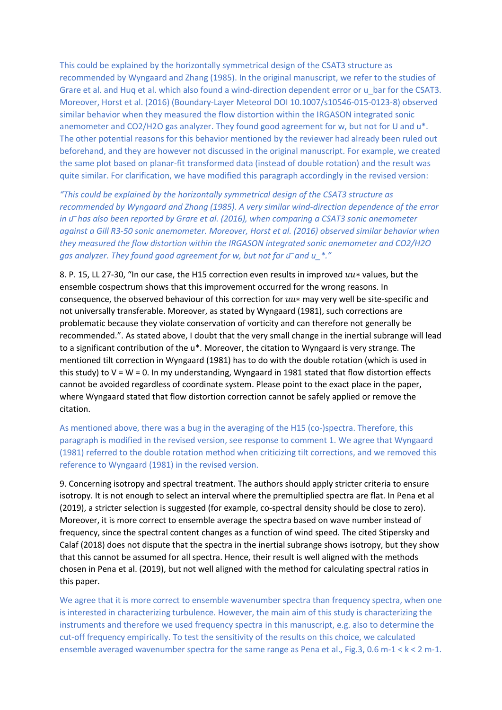This could be explained by the horizontally symmetrical design of the CSAT3 structure as recommended by Wyngaard and Zhang (1985). In the original manuscript, we refer to the studies of Grare et al. and Huq et al. which also found a wind-direction dependent error or u\_bar for the CSAT3. Moreover, Horst et al. (2016) (Boundary-Layer Meteorol DOI 10.1007/s10546-015-0123-8) observed similar behavior when they measured the flow distortion within the IRGASON integrated sonic anemometer and CO2/H2O gas analyzer. They found good agreement for w, but not for U and u\*. The other potential reasons for this behavior mentioned by the reviewer had already been ruled out beforehand, and they are however not discussed in the original manuscript. For example, we created the same plot based on planar-fit transformed data (instead of double rotation) and the result was quite similar. For clarification, we have modified this paragraph accordingly in the revised version:

*"This could be explained by the horizontally symmetrical design of the CSAT3 structure as recommended by Wyngaard and Zhang (1985). A very similar wind-direction dependence of the error in u ̅has also been reported by Grare et al. (2016), when comparing a CSAT3 sonic anemometer against a Gill R3-50 sonic anemometer. Moreover, Horst et al. (2016) observed similar behavior when they measured the flow distortion within the IRGASON integrated sonic anemometer and CO2/H2O gas analyzer. They found good agreement for w, but not for u ̅and u\_\*."*

8. P. 15, LL 27-30, "In our case, the H15 correction even results in improved  $uu*$  values, but the ensemble cospectrum shows that this improvement occurred for the wrong reasons. In consequence, the observed behaviour of this correction for  $uu*$  may very well be site-specific and not universally transferable. Moreover, as stated by Wyngaard (1981), such corrections are problematic because they violate conservation of vorticity and can therefore not generally be recommended.". As stated above, I doubt that the very small change in the inertial subrange will lead to a significant contribution of the u\*. Moreover, the citation to Wyngaard is very strange. The mentioned tilt correction in Wyngaard (1981) has to do with the double rotation (which is used in this study) to  $V = W = 0$ . In my understanding, Wyngaard in 1981 stated that flow distortion effects cannot be avoided regardless of coordinate system. Please point to the exact place in the paper, where Wyngaard stated that flow distortion correction cannot be safely applied or remove the citation.

As mentioned above, there was a bug in the averaging of the H15 (co-)spectra. Therefore, this paragraph is modified in the revised version, see response to comment 1. We agree that Wyngaard (1981) referred to the double rotation method when criticizing tilt corrections, and we removed this reference to Wyngaard (1981) in the revised version.

9. Concerning isotropy and spectral treatment. The authors should apply stricter criteria to ensure isotropy. It is not enough to select an interval where the premultiplied spectra are flat. In Pena et al (2019), a stricter selection is suggested (for example, co-spectral density should be close to zero). Moreover, it is more correct to ensemble average the spectra based on wave number instead of frequency, since the spectral content changes as a function of wind speed. The cited Stipersky and Calaf (2018) does not dispute that the spectra in the inertial subrange shows isotropy, but they show that this cannot be assumed for all spectra. Hence, their result is well aligned with the methods chosen in Pena et al. (2019), but not well aligned with the method for calculating spectral ratios in this paper.

We agree that it is more correct to ensemble wavenumber spectra than frequency spectra, when one is interested in characterizing turbulence. However, the main aim of this study is characterizing the instruments and therefore we used frequency spectra in this manuscript, e.g. also to determine the cut-off frequency empirically. To test the sensitivity of the results on this choice, we calculated ensemble averaged wavenumber spectra for the same range as Pena et al., Fig.3, 0.6 m-1 < k < 2 m-1.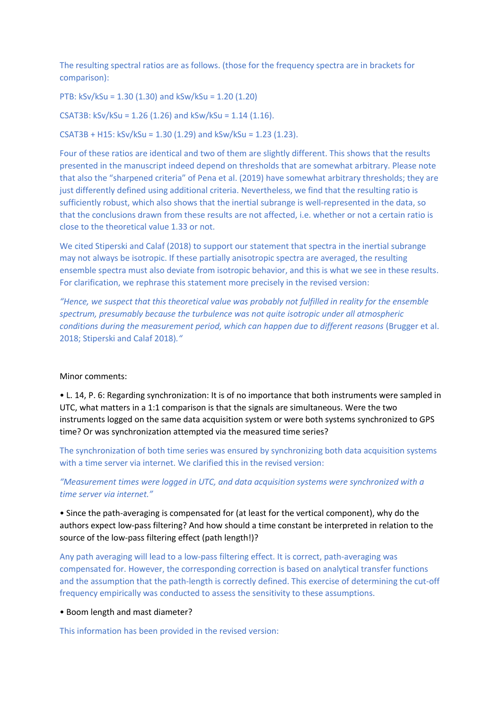The resulting spectral ratios are as follows. (those for the frequency spectra are in brackets for comparison):

PTB: kSv/kSu = 1.30 (1.30) and kSw/kSu = 1.20 (1.20)

CSAT3B: kSv/kSu = 1.26 (1.26) and kSw/kSu = 1.14 (1.16).

CSAT3B + H15: kSv/kSu = 1.30 (1.29) and kSw/kSu = 1.23 (1.23).

Four of these ratios are identical and two of them are slightly different. This shows that the results presented in the manuscript indeed depend on thresholds that are somewhat arbitrary. Please note that also the "sharpened criteria" of Pena et al. (2019) have somewhat arbitrary thresholds; they are just differently defined using additional criteria. Nevertheless, we find that the resulting ratio is sufficiently robust, which also shows that the inertial subrange is well-represented in the data, so that the conclusions drawn from these results are not affected, i.e. whether or not a certain ratio is close to the theoretical value 1.33 or not.

We cited Stiperski and Calaf (2018) to support our statement that spectra in the inertial subrange may not always be isotropic. If these partially anisotropic spectra are averaged, the resulting ensemble spectra must also deviate from isotropic behavior, and this is what we see in these results. For clarification, we rephrase this statement more precisely in the revised version:

*"Hence, we suspect that this theoretical value was probably not fulfilled in reality for the ensemble spectrum, presumably because the turbulence was not quite isotropic under all atmospheric conditions during the measurement period, which can happen due to different reasons* (Brugger et al. 2018; Stiperski and Calaf 2018)*."*

### Minor comments:

• L. 14, P. 6: Regarding synchronization: It is of no importance that both instruments were sampled in UTC, what matters in a 1:1 comparison is that the signals are simultaneous. Were the two instruments logged on the same data acquisition system or were both systems synchronized to GPS time? Or was synchronization attempted via the measured time series?

The synchronization of both time series was ensured by synchronizing both data acquisition systems with a time server via internet. We clarified this in the revised version:

*"Measurement times were logged in UTC, and data acquisition systems were synchronized with a time server via internet."*

• Since the path-averaging is compensated for (at least for the vertical component), why do the authors expect low-pass filtering? And how should a time constant be interpreted in relation to the source of the low-pass filtering effect (path length!)?

Any path averaging will lead to a low-pass filtering effect. It is correct, path-averaging was compensated for. However, the corresponding correction is based on analytical transfer functions and the assumption that the path-length is correctly defined. This exercise of determining the cut-off frequency empirically was conducted to assess the sensitivity to these assumptions.

• Boom length and mast diameter?

This information has been provided in the revised version: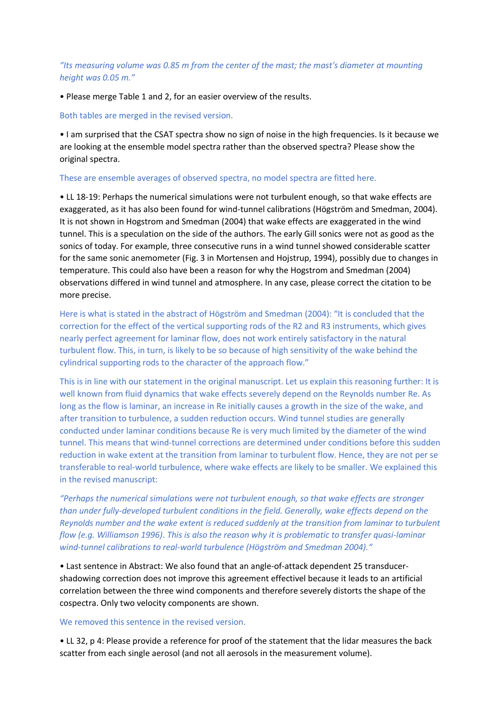# *"Its measuring volume was 0.85 m from the center of the mast; the mast's diameter at mounting height was 0.05 m."*

• Please merge Table 1 and 2, for an easier overview of the results.

# Both tables are merged in the revised version.

• I am surprised that the CSAT spectra show no sign of noise in the high frequencies. Is it because we are looking at the ensemble model spectra rather than the observed spectra? Please show the original spectra.

# These are ensemble averages of observed spectra, no model spectra are fitted here.

• LL 18-19: Perhaps the numerical simulations were not turbulent enough, so that wake effects are exaggerated, as it has also been found for wind-tunnel calibrations (Högström and Smedman, 2004). It is not shown in Hogstrom and Smedman (2004) that wake effects are exaggerated in the wind tunnel. This is a speculation on the side of the authors. The early Gill sonics were not as good as the sonics of today. For example, three consecutive runs in a wind tunnel showed considerable scatter for the same sonic anemometer (Fig. 3 in Mortensen and Hojstrup, 1994), possibly due to changes in temperature. This could also have been a reason for why the Hogstrom and Smedman (2004) observations differed in wind tunnel and atmosphere. In any case, please correct the citation to be more precise.

Here is what is stated in the abstract of Högström and Smedman (2004): "It is concluded that the correction for the effect of the vertical supporting rods of the R2 and R3 instruments, which gives nearly perfect agreement for laminar flow, does not work entirely satisfactory in the natural turbulent flow. This, in turn, is likely to be so because of high sensitivity of the wake behind the cylindrical supporting rods to the character of the approach flow."

This is in line with our statement in the original manuscript. Let us explain this reasoning further: It is well known from fluid dynamics that wake effects severely depend on the Reynolds number Re. As long as the flow is laminar, an increase in Re initially causes a growth in the size of the wake, and after transition to turbulence, a sudden reduction occurs. Wind tunnel studies are generally conducted under laminar conditions because Re is very much limited by the diameter of the wind tunnel. This means that wind-tunnel corrections are determined under conditions before this sudden reduction in wake extent at the transition from laminar to turbulent flow. Hence, they are not per se transferable to real-world turbulence, where wake effects are likely to be smaller. We explained this in the revised manuscript:

*"Perhaps the numerical simulations were not turbulent enough, so that wake effects are stronger than under fully-developed turbulent conditions in the field. Generally, wake effects depend on the Reynolds number and the wake extent is reduced suddenly at the transition from laminar to turbulent flow (e.g. Williamson 1996)*. *This is also the reason why it is problematic to transfer quasi-laminar wind-tunnel calibrations to real-world turbulence (Högström and Smedman 2004)."*

• Last sentence in Abstract: We also found that an angle-of-attack dependent 25 transducershadowing correction does not improve this agreement effectivel because it leads to an artificial correlation between the three wind components and therefore severely distorts the shape of the cospectra. Only two velocity components are shown.

### We removed this sentence in the revised version.

• LL 32, p 4: Please provide a reference for proof of the statement that the lidar measures the back scatter from each single aerosol (and not all aerosols in the measurement volume).